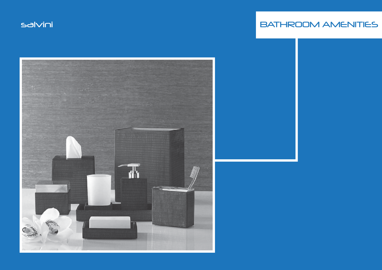# salvini BATHROOM AMENITIES

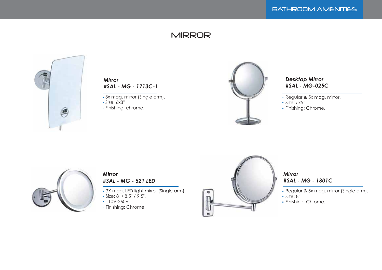### **MIRROR**



#### *Mirror #SAL - MG - 1713C-1*

- 3x mag. mirror (Single arm).
- Size: 6x8"
- Finishing: chrome.



#### *Desktop Mirror #SAL - MG-025C*

- Regular & 5x mag. mirror.
- Size: 5x5"
- Finishing: Chrome.



#### *Mirror #SAL - MG - 521 LED*

- 3X mag. LED light mirror (Single arm).
- Size: 8" / 8.5" / 9.5",
- 110V-260V
- Finishing: Chrome.



### *Mirror #SAL - MG - 1801C*

- Regular & 5x mag. mirror (Single arm).
- Size: 8"
- Finishing: Chrome.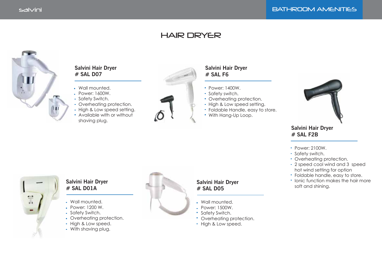## HAIR DRYER



### **Salvini Hair Dryer # SAL D07**

- Wall mounted.
- Power: 1600W.
- Safety Switch.
- Overheating protection.
- High & Low speed setting.
- Available with or without shaving plug.



### **Salvini Hair Dryer # SAL F6**

- Power: 1400W.
- Safety switch.
- Overheating protection.
- High & Low speed setting.
- Foldable Handle, easy to store.
- With Hang-Up Loop.



### **Salvini Hair Dryer # SAL F2B**

- Power: 2100W.
- Safety switch.
- Overheating protection.
- 2 speed cool wind and 3 speed hot wind setting for option
- Foldable handle, easy to store.
- **Ionic function makes the hair more** soft and shining.



### **Salvini Hair Dryer # SAL D01A**

- Wall mounted.
- Power: 1200 W.
- Safety Switch.
- Overheating protection.
- High & Low speed.
- With shaving plug.



#### **Salvini Hair Dryer # SAL D05**

- Wall mounted.
- Power: 1500W.
- **Safety Switch.**
- Overheating protection.
- High & Low speed.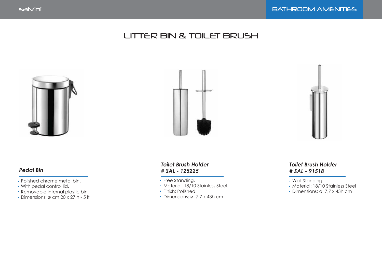# LITTER BIN & TOILET BRUSH



### *Pedal Bin*

- Polished chrome metal bin.
- With pedal control lid.
- Removable internal plastic bin.
- $\bullet$  Dimensions: ø cm 20 x 27 h 5 lt





- Free Standing.
- Material: 18/10 Stainless Steel.
- Finish: Polished.
- Dimensions: ø 7,7 x 43h cm



### *Toilet Brush Holder # SAL - 91518*

- Wall Standing
- Material: 18/10 Stainless Steel
- Dimensions: ø 7,7 x 43h cm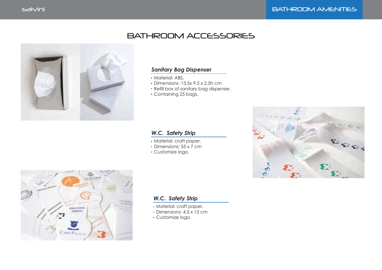## BATHROOM ACCESSORIES



#### *Sanitary Bag Dispenser*

- Material: ABS.
- Dimensions: 13,5x 9,5 x 2,5h cm
- Refill box of sanitary bag dispenser.
- Containing 25 bags.

#### *W.C. Safety Strip*

- Material: craft paper.
- Dimensions: 55 x 7 cm
- Customize logo.





#### *W.C. Safety Strip*

- Material: craft paper.
- Dimensions: 4,5 x 13 cm
- Customize logo.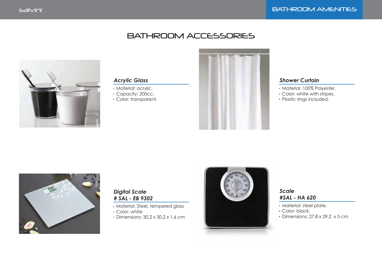### BATHROOM ACCESSORIES



#### *Acrylic Glass*

- Material: acrylic.
- Capacity: 200cc.
- Color: transparent.



#### *Shower Curtain*

- Material: 100% Polyester.
- Color: white with stripes.
- Plastic rings included.



### *Digital Scale # SAL - EB 9302*

- Material: Steel, tempered glass
- Color: white
- Dimensions: 30,2 x 30,2 x 1,6 cm



#### *Scale #SAL - HA 620*

- Material: steel plate.
- Color: black.
- Dimensions: 27,8 x 29,2 x 5 cm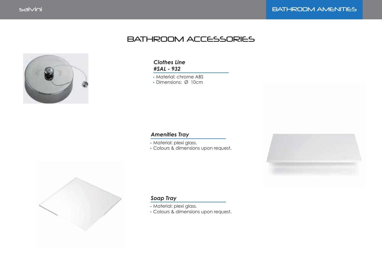# BATHROOM ACCESSORIES



#### *Clothes Line #SAL - 932*

Material: chrome ABS

Dimensions: Ø 10cm

### *Amenities Tray*

Material: plexi glass.

Colours & dimensions upon request.





#### *Soap Tray*

Material: plexi glass.

Colours & dimensions upon request.